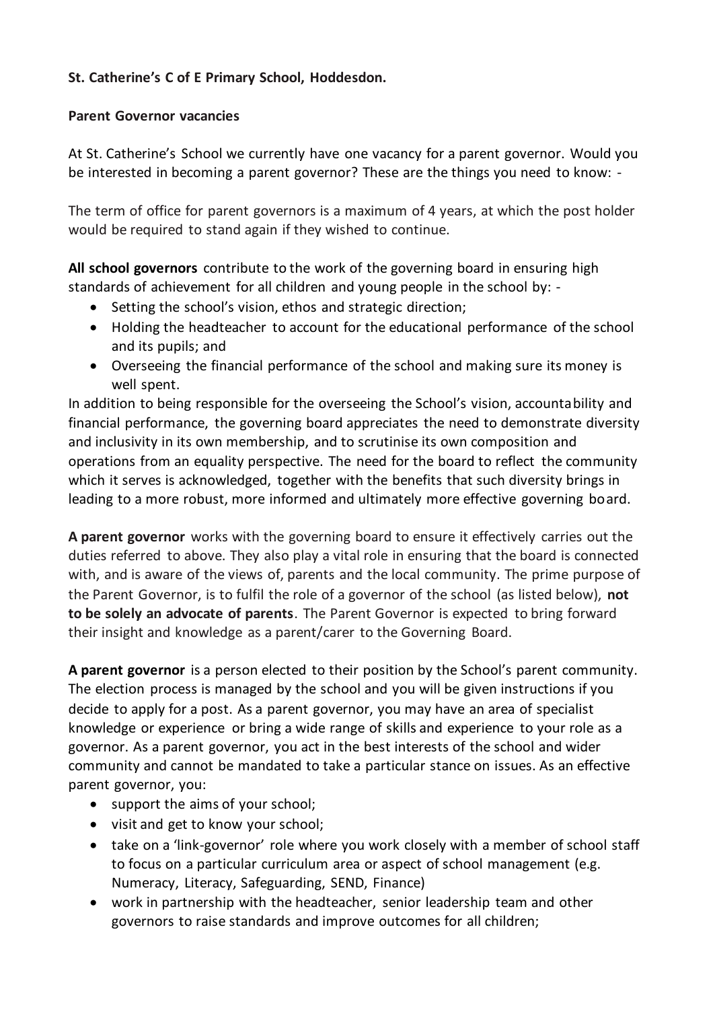## **St. Catherine's C of E Primary School, Hoddesdon.**

## **Parent Governor vacancies**

At St. Catherine's School we currently have one vacancy for a parent governor. Would you be interested in becoming a parent governor? These are the things you need to know: -

The term of office for parent governors is a maximum of 4 years, at which the post holder would be required to stand again if they wished to continue.

**All school governors** contribute to the work of the governing board in ensuring high standards of achievement for all children and young people in the school by: -

- Setting the school's vision, ethos and strategic direction;
- Holding the headteacher to account for the educational performance of the school and its pupils; and
- Overseeing the financial performance of the school and making sure its money is well spent.

In addition to being responsible for the overseeing the School's vision, accountability and financial performance, the governing board appreciates the need to demonstrate diversity and inclusivity in its own membership, and to scrutinise its own composition and operations from an equality perspective. The need for the board to reflect the community which it serves is acknowledged, together with the benefits that such diversity brings in leading to a more robust, more informed and ultimately more effective governing board.

**A parent governor** works with the governing board to ensure it effectively carries out the duties referred to above. They also play a vital role in ensuring that the board is connected with, and is aware of the views of, parents and the local community. The prime purpose of the Parent Governor, is to fulfil the role of a governor of the school (as listed below), **not to be solely an advocate of parents**. The Parent Governor is expected to bring forward their insight and knowledge as a parent/carer to the Governing Board.

**A parent governor** is a person elected to their position by the School's parent community. The election process is managed by the school and you will be given instructions if you decide to apply for a post. As a parent governor, you may have an area of specialist knowledge or experience or bring a wide range of skills and experience to your role as a governor. As a parent governor, you act in the best interests of the school and wider community and cannot be mandated to take a particular stance on issues. As an effective parent governor, you:

- support the aims of your school;
- visit and get to know your school;
- take on a 'link-governor' role where you work closely with a member of school staff to focus on a particular curriculum area or aspect of school management (e.g. Numeracy, Literacy, Safeguarding, SEND, Finance)
- work in partnership with the headteacher, senior leadership team and other governors to raise standards and improve outcomes for all children;